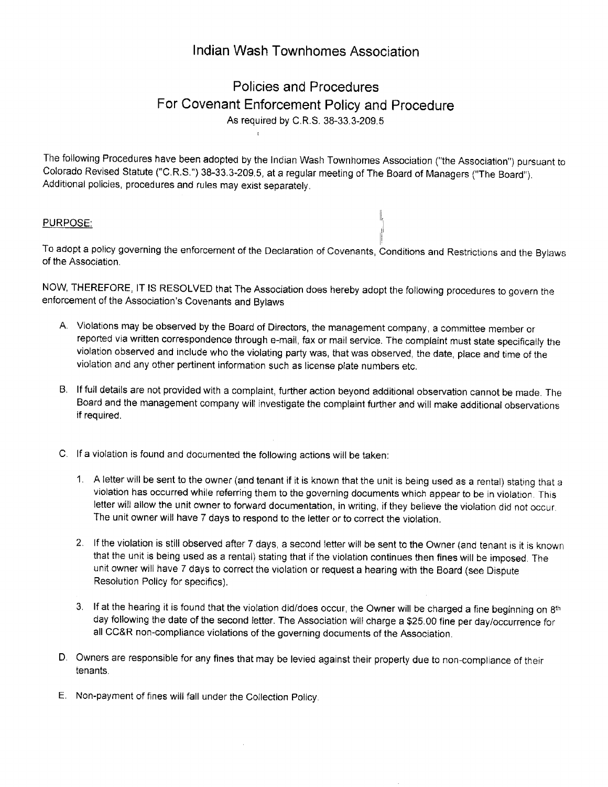## lndlan Wash Townhomes Association

## Policies and Procedures For Covenant Enforcement Policy and Procedure As required by C.R.S. 38-33.3-209.5

I

The following Procedures have been adopted by the lndian Wash Townhomes Association ("the Association") pursuant to Colorado Revised Statute ("C.R.S.") 38-33.3-209.5, at a regular meeting of The Board of Managers ("The Board"). Additional policies, procedures and rules may exist separately.

## PURPOSE:

To adopt a policy governing the enforcement of the Declaration of Covenants, Conditions and Restrictions and the Bylaws of the Association.

tl

NOW, THEREFORE, lT lS RESOLVED that The Association does hereby adopt the following procedures to govern the enforcement of the Association's Covenants and Bylaws

- A. Violations may be observed by the Board of Directors, the management company, a committee member or reported via written correspondence through e-mail, fax or mail service. The comptaint must state specifically the violation observed and include who the violating party was, that was observed, the date, place and time of the violation and any other pertinent information such as license plate numbers etc.
- B. lf full details are not provided with a complaint, further action beyond additional observation cannot be made. The Board and the management company will investigate the compiaint further and will make additional observations if required.
- C. If a violation is found and documented the following actions will be taken:
	- 1. <sup>A</sup>letter will be sent to the owner (and tenant if it is known that the unit is being used as a rental) stating that <sup>a</sup> violation has occurred while referring them to the governing documents which appear to be in violation This letter will allow the unit owner to forward documentation, in writing, if they believe the violation did not occur. The unit owner will have 7 days to respond to the letter or to correct the vioiation.
	- 2. lf the violation is still observed after 7 days, a second letter will be sent to the Owner (and tenant is it is known that the unit is being used as a rental) stating that if the violation continues then fines will be imposed The unit owner will have 7 days to correct the violation or request a hearing with the Board (see Dispute Resolution Policy for specifics),
	- 3. If at the hearing it is found that the violation did/does occur, the Owner will be charged a fine beginning on 8th day following the date of the second letter. The Association will charge a \$25.00 fine per day/occurrence for all CC&R non-compliance violations of the governing documents of the Association.
- D. Owners are responsible for any fines that may be levied against their property due to non-compliance of their tenants.
- E. Non-payment of fines will fall under the Collection Policy.